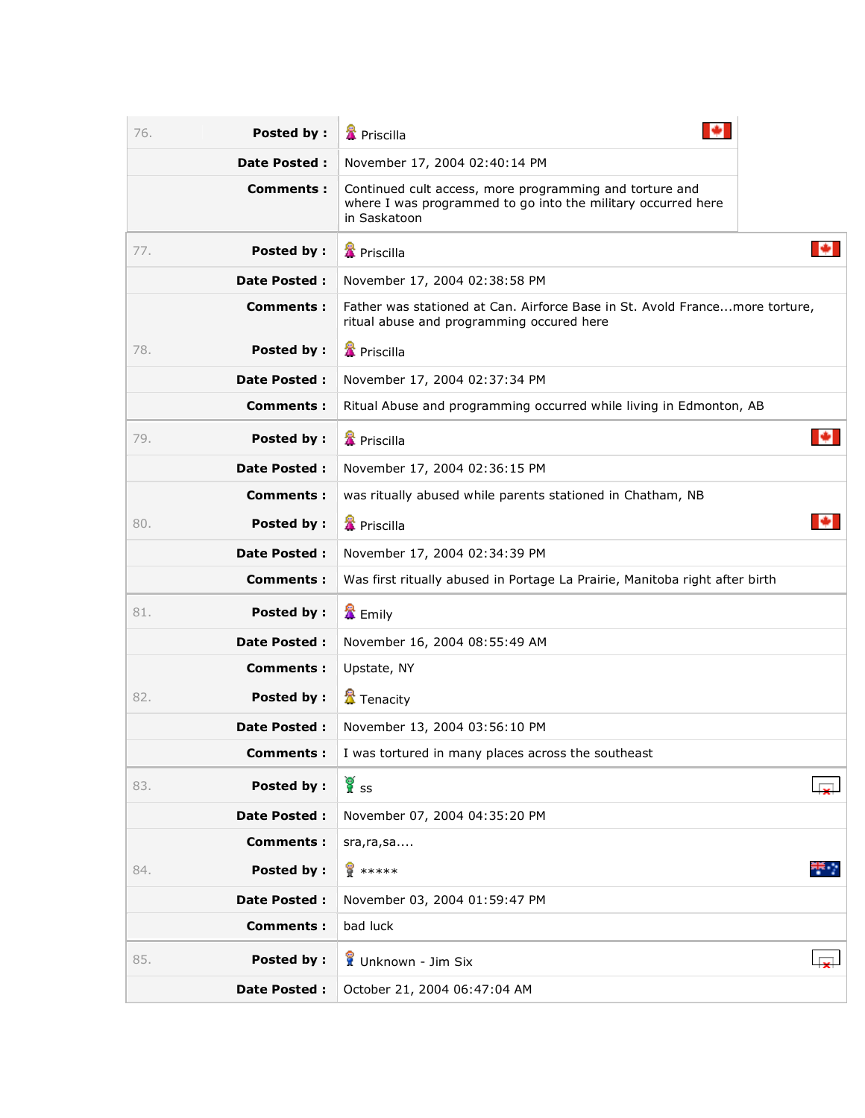| <b>Posted by:</b><br>76. | <b>X</b> Priscilla                                                                                                                      |
|--------------------------|-----------------------------------------------------------------------------------------------------------------------------------------|
| Date Posted :            | November 17, 2004 02:40:14 PM                                                                                                           |
| Comments:                | Continued cult access, more programming and torture and<br>where I was programmed to go into the military occurred here<br>in Saskatoon |
| 77.<br>Posted by:        | <b>&amp;</b> Priscilla                                                                                                                  |
| Date Posted :            | November 17, 2004 02:38:58 PM                                                                                                           |
| <b>Comments:</b>         | Father was stationed at Can. Airforce Base in St. Avold Francemore torture,<br>ritual abuse and programming occured here                |
| <b>Posted by:</b><br>78. | <b>翼</b> Priscilla                                                                                                                      |
| Date Posted :            | November 17, 2004 02:37:34 PM                                                                                                           |
| Comments:                | Ritual Abuse and programming occurred while living in Edmonton, AB                                                                      |
| Posted by :<br>79.       | ÷<br><b>&amp;</b> Priscilla                                                                                                             |
| <b>Date Posted:</b>      | November 17, 2004 02:36:15 PM                                                                                                           |
| Comments:                | was ritually abused while parents stationed in Chatham, NB                                                                              |
| Posted by :<br>80.       | <b>&amp;</b> Priscilla                                                                                                                  |
| <b>Date Posted:</b>      | November 17, 2004 02:34:39 PM                                                                                                           |
| Comments:                | Was first ritually abused in Portage La Prairie, Manitoba right after birth                                                             |
| 81.<br>Posted by :       | & Emily                                                                                                                                 |
| Date Posted :            | November 16, 2004 08:55:49 AM                                                                                                           |
| <b>Comments:</b>         | Upstate, NY                                                                                                                             |
| Posted by :<br>82.       | <b>置</b> Tenacity                                                                                                                       |
| <b>Date Posted:</b>      | November 13, 2004 03:56:10 PM                                                                                                           |
| <b>Comments:</b>         | I was tortured in many places across the southeast                                                                                      |
| <b>Posted by:</b><br>83. | ัชี้<br>∦ิรร                                                                                                                            |
| Date Posted :            | November 07, 2004 04:35:20 PM                                                                                                           |
| <b>Comments:</b>         | sra, ra, sa                                                                                                                             |
| <b>Posted by:</b><br>84. | ₩.,<br><b>8</b> *****                                                                                                                   |
| Date Posted :            | November 03, 2004 01:59:47 PM                                                                                                           |
| <b>Comments:</b>         | bad luck                                                                                                                                |
| <b>Posted by:</b><br>85. | Unknown - Jim Six                                                                                                                       |
| Date Posted :            | October 21, 2004 06:47:04 AM                                                                                                            |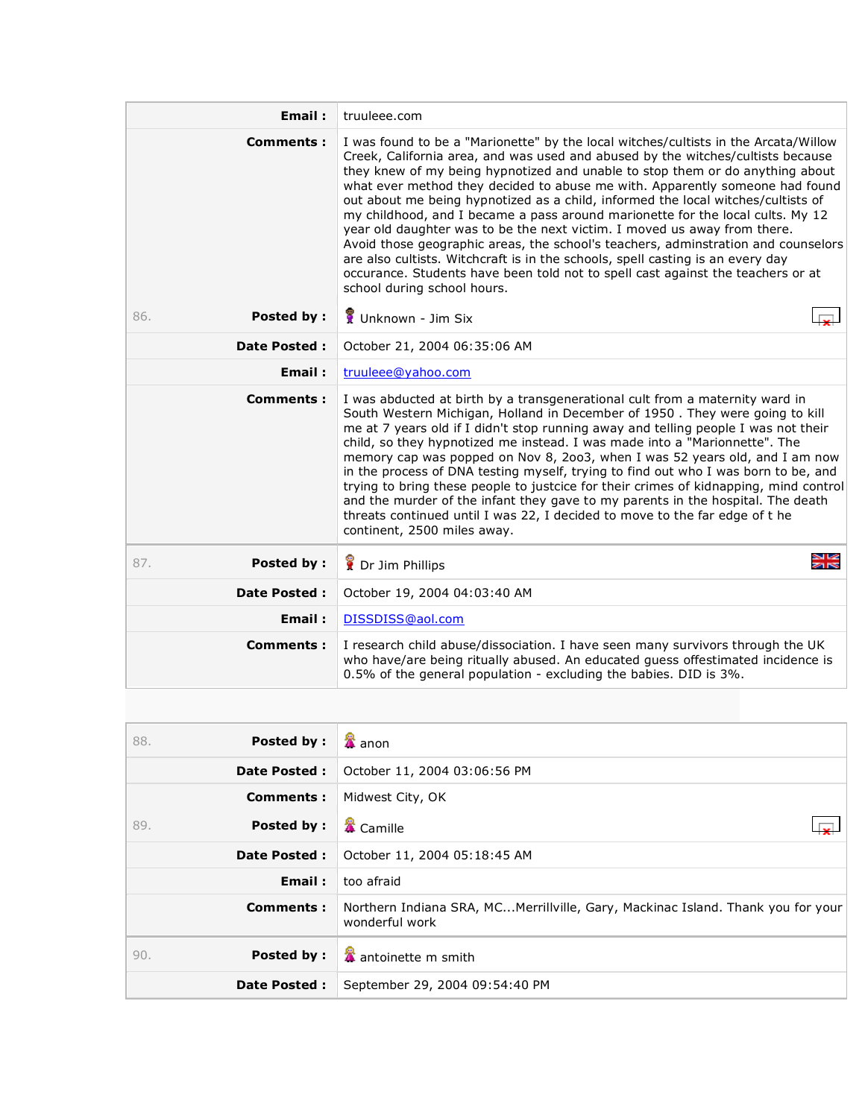| Email:                   | truuleee.com                                                                                                                                                                                                                                                                                                                                                                                                                                                                                                                                                                                                                                                                                                                                                                                                                                                                       |
|--------------------------|------------------------------------------------------------------------------------------------------------------------------------------------------------------------------------------------------------------------------------------------------------------------------------------------------------------------------------------------------------------------------------------------------------------------------------------------------------------------------------------------------------------------------------------------------------------------------------------------------------------------------------------------------------------------------------------------------------------------------------------------------------------------------------------------------------------------------------------------------------------------------------|
| <b>Comments:</b>         | I was found to be a "Marionette" by the local witches/cultists in the Arcata/Willow<br>Creek, California area, and was used and abused by the witches/cultists because<br>they knew of my being hypnotized and unable to stop them or do anything about<br>what ever method they decided to abuse me with. Apparently someone had found<br>out about me being hypnotized as a child, informed the local witches/cultists of<br>my childhood, and I became a pass around marionette for the local cults. My 12<br>year old daughter was to be the next victim. I moved us away from there.<br>Avoid those geographic areas, the school's teachers, adminstration and counselors<br>are also cultists. Witchcraft is in the schools, spell casting is an every day<br>occurance. Students have been told not to spell cast against the teachers or at<br>school during school hours. |
| <b>Posted by:</b><br>86. | Unknown - Jim Six                                                                                                                                                                                                                                                                                                                                                                                                                                                                                                                                                                                                                                                                                                                                                                                                                                                                  |
| <b>Date Posted:</b>      | October 21, 2004 06:35:06 AM                                                                                                                                                                                                                                                                                                                                                                                                                                                                                                                                                                                                                                                                                                                                                                                                                                                       |
| Email:                   | truuleee@yahoo.com                                                                                                                                                                                                                                                                                                                                                                                                                                                                                                                                                                                                                                                                                                                                                                                                                                                                 |
| <b>Comments:</b>         | I was abducted at birth by a transgenerational cult from a maternity ward in<br>South Western Michigan, Holland in December of 1950 . They were going to kill<br>me at 7 years old if I didn't stop running away and telling people I was not their<br>child, so they hypnotized me instead. I was made into a "Marionnette". The<br>memory cap was popped on Nov 8, 2003, when I was 52 years old, and I am now<br>in the process of DNA testing myself, trying to find out who I was born to be, and<br>trying to bring these people to justcice for their crimes of kidnapping, mind control<br>and the murder of the infant they gave to my parents in the hospital. The death<br>threats continued until I was 22, I decided to move to the far edge of t he<br>continent, 2500 miles away.                                                                                   |
| <b>Posted by:</b><br>87. | 의성<br>기준<br>Dr Jim Phillips                                                                                                                                                                                                                                                                                                                                                                                                                                                                                                                                                                                                                                                                                                                                                                                                                                                        |
| <b>Date Posted:</b>      | October 19, 2004 04:03:40 AM                                                                                                                                                                                                                                                                                                                                                                                                                                                                                                                                                                                                                                                                                                                                                                                                                                                       |
| Email:                   | DISSDISS@aol.com                                                                                                                                                                                                                                                                                                                                                                                                                                                                                                                                                                                                                                                                                                                                                                                                                                                                   |
| <b>Comments:</b>         | I research child abuse/dissociation. I have seen many survivors through the UK<br>who have/are being ritually abused. An educated guess offestimated incidence is<br>0.5% of the general population - excluding the babies. DID is 3%.                                                                                                                                                                                                                                                                                                                                                                                                                                                                                                                                                                                                                                             |

| Posted by:<br>88.        | $\frac{1}{4}$ anon                                                                                |
|--------------------------|---------------------------------------------------------------------------------------------------|
| <b>Date Posted:</b>      | October 11, 2004 03:06:56 PM                                                                      |
| <b>Comments:</b>         | Midwest City, OK                                                                                  |
| <b>Posted by:</b><br>89. | <b>&amp;</b> Camille                                                                              |
| <b>Date Posted:</b>      | October 11, 2004 05:18:45 AM                                                                      |
| Email:                   | too afraid                                                                                        |
| Comments:                | Northern Indiana SRA, MCMerrillville, Gary, Mackinac Island. Thank you for your<br>wonderful work |
| Posted by:<br>90.        | antoinette m smith                                                                                |
| <b>Date Posted:</b>      | September 29, 2004 09:54:40 PM                                                                    |